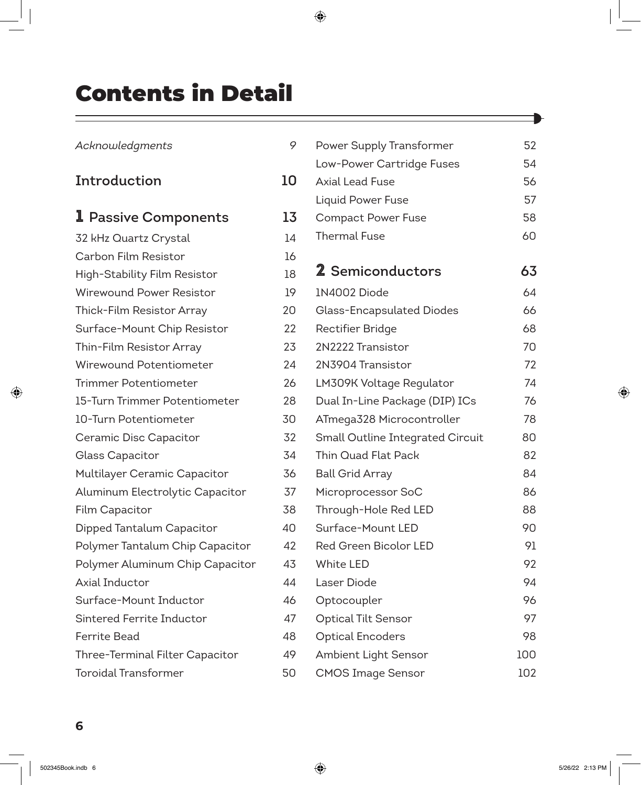## Contents in Detail

| Acknowledgments                 | 9  | Powe              |
|---------------------------------|----|-------------------|
|                                 |    | Low-              |
| Introduction                    | 10 | Axial             |
|                                 |    | Liquid            |
| <b>1</b> Passive Components     | 13 | Com               |
| 32 kHz Quartz Crystal           | 14 | Therr             |
| Carbon Film Resistor            | 16 |                   |
| High-Stability Film Resistor    | 18 | $2$ Se            |
| Wirewound Power Resistor        | 19 | 1N40              |
| Thick-Film Resistor Array       | 20 | Glass             |
| Surface-Mount Chip Resistor     | 22 | Recti             |
| Thin-Film Resistor Array        | 23 | 2N22              |
| Wirewound Potentiometer         | 24 | 2N39              |
| <b>Trimmer Potentiometer</b>    | 26 | LM3C              |
| 15-Turn Trimmer Potentiometer   | 28 | Dual              |
| 10-Turn Potentiometer           | 30 | ATme              |
| Ceramic Disc Capacitor          | 32 | Smal              |
| Glass Capacitor                 | 34 | Thin <sup>(</sup> |
| Multilayer Ceramic Capacitor    | 36 | <b>Ball C</b>     |
| Aluminum Electrolytic Capacitor | 37 | Micro             |
| Film Capacitor                  | 38 | Throu             |
| Dipped Tantalum Capacitor       | 40 | Surfa             |
| Polymer Tantalum Chip Capacitor | 42 | Red (             |
| Polymer Aluminum Chip Capacitor | 43 | White             |
| Axial Inductor                  | 44 | Laser             |
| Surface-Mount Inductor          | 46 | Opto              |
| Sintered Ferrite Inductor       | 47 | Optic             |
| <b>Ferrite Bead</b>             | 48 | Optic             |
| Three-Terminal Filter Capacitor | 49 | Ambi              |
| <b>Toroidal Transformer</b>     | 50 | <b>CMO</b>        |

| 9  | Power Supply Transformer         | 52  |  |  |
|----|----------------------------------|-----|--|--|
|    | Low-Power Cartridge Fuses        | 54  |  |  |
| 10 | <b>Axial Lead Fuse</b>           | 56  |  |  |
|    | <b>Liquid Power Fuse</b>         | 57  |  |  |
| 13 | <b>Compact Power Fuse</b>        | 58  |  |  |
| 14 | <b>Thermal Fuse</b>              | 60  |  |  |
| 16 |                                  |     |  |  |
| 18 | 2 Semiconductors                 | 63  |  |  |
| 19 | 1N4002 Diode                     | 64  |  |  |
| 20 | Glass-Encapsulated Diodes        |     |  |  |
| 22 | Rectifier Bridge                 | 68  |  |  |
| 23 | 2N2222 Transistor                | 70  |  |  |
| 24 | 2N3904 Transistor                | 72  |  |  |
| 26 | LM309K Voltage Regulator         | 74  |  |  |
| 28 | Dual In-Line Package (DIP) ICs   | 76  |  |  |
| 30 | ATmega328 Microcontroller        | 78  |  |  |
| 32 | Small Outline Integrated Circuit | 80  |  |  |
| 34 | Thin Quad Flat Pack              | 82  |  |  |
| 36 | <b>Ball Grid Array</b>           | 84  |  |  |
| 37 | Microprocessor SoC               | 86  |  |  |
| 38 | Through-Hole Red LED             | 88  |  |  |
| 40 | Surface-Mount LED                | 90  |  |  |
| 42 | <b>Red Green Bicolor LED</b>     | 91  |  |  |
| 43 | <b>White LED</b>                 | 92  |  |  |
| 44 | Laser Diode                      | 94  |  |  |
| 46 | Optocoupler                      | 96  |  |  |
| 47 | <b>Optical Tilt Sensor</b>       | 97  |  |  |
| 48 | <b>Optical Encoders</b>          | 98  |  |  |
| 49 | Ambient Light Sensor             | 100 |  |  |
| 50 | <b>CMOS Image Sensor</b>         | 102 |  |  |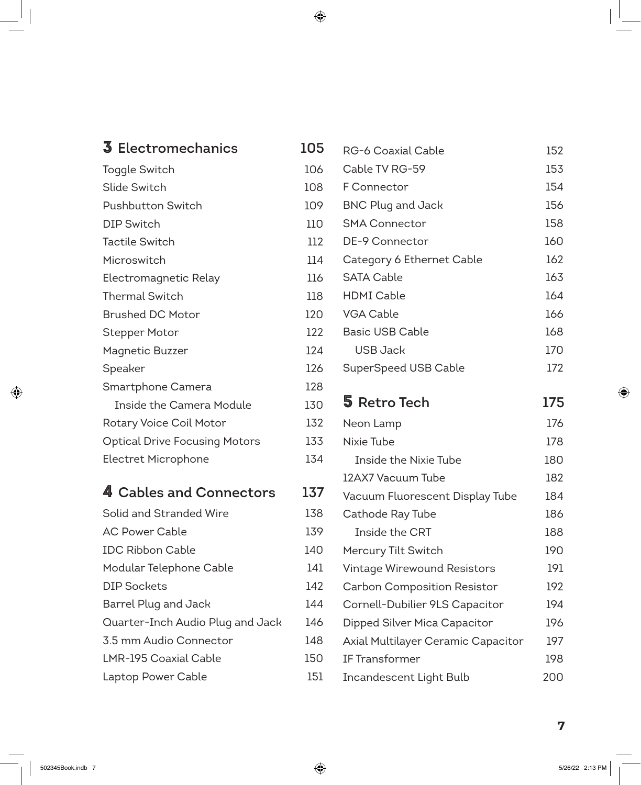| 3 Electromechanics                   | 105 |
|--------------------------------------|-----|
| Toggle Switch                        | 106 |
| Slide Switch                         | 108 |
| <b>Pushbutton Switch</b>             | 109 |
| <b>DIP Switch</b>                    | 110 |
| <b>Tactile Switch</b>                | 112 |
| Microswitch                          | 114 |
| Electromagnetic Relay                | 116 |
| <b>Thermal Switch</b>                | 118 |
| <b>Brushed DC Motor</b>              | 120 |
| <b>Stepper Motor</b>                 | 122 |
| <b>Magnetic Buzzer</b>               | 124 |
| Speaker                              | 126 |
| Smartphone Camera                    | 128 |
| <b>Inside the Camera Module</b>      | 130 |
| Rotary Voice Coil Motor              | 132 |
| <b>Optical Drive Focusing Motors</b> | 133 |
| Electret Microphone                  | 134 |
| 4 Cables and Connectors              | 137 |
| Solid and Stranded Wire              | 138 |
| <b>AC Power Cable</b>                | 139 |
| <b>IDC Ribbon Cable</b>              | 140 |
| Modular Telephone Cable              | 141 |
| <b>DIP Sockets</b>                   | 142 |
| Barrel Plug and Jack                 | 144 |
| Quarter-Inch Audio Plug and Jack     | 146 |
| 3.5 mm Audio Connector               | 148 |
| LMR-195 Coaxial Cable                | 150 |
| Laptop Power Cable                   | 151 |

| Ⴢ | RG-6 Coaxial Cable                 | 152 |
|---|------------------------------------|-----|
| 6 | Cable TV RG-59                     | 153 |
| 8 | F Connector                        | 154 |
| 9 | <b>BNC Plug and Jack</b>           | 156 |
| O | <b>SMA Connector</b>               | 158 |
| 2 | DE-9 Connector                     | 160 |
| 4 | Category 6 Ethernet Cable          | 162 |
| 6 | <b>SATA Cable</b>                  | 163 |
| 8 | <b>HDMI Cable</b>                  | 164 |
| О | <b>VGA Cable</b>                   | 166 |
| 2 | <b>Basic USB Cable</b>             | 168 |
| 4 | <b>USB Jack</b>                    | 170 |
| 6 | SuperSpeed USB Cable               | 172 |
| 8 |                                    |     |
| О | 5 Retro Tech                       | 175 |
| 2 | Neon Lamp                          | 176 |
| 3 | Nixie Tube                         | 178 |
| 4 | Inside the Nixie Tube              | 180 |
|   | 12AX7 Vacuum Tube                  | 182 |
| 7 |                                    |     |
|   | Vacuum Fluorescent Display Tube    | 184 |
| 8 | Cathode Ray Tube                   | 186 |
| 9 | Inside the CRT                     | 188 |
| O | Mercury Tilt Switch                | 190 |
| 1 | Vintage Wirewound Resistors        | 191 |
| 2 | Carbon Composition Resistor        | 192 |
| 4 | Cornell-Dubilier 9LS Capacitor     | 194 |
| 6 | Dipped Silver Mica Capacitor       | 196 |
| 8 | Axial Multilayer Ceramic Capacitor | 197 |
| O | IF Transformer                     | 198 |

## **7**